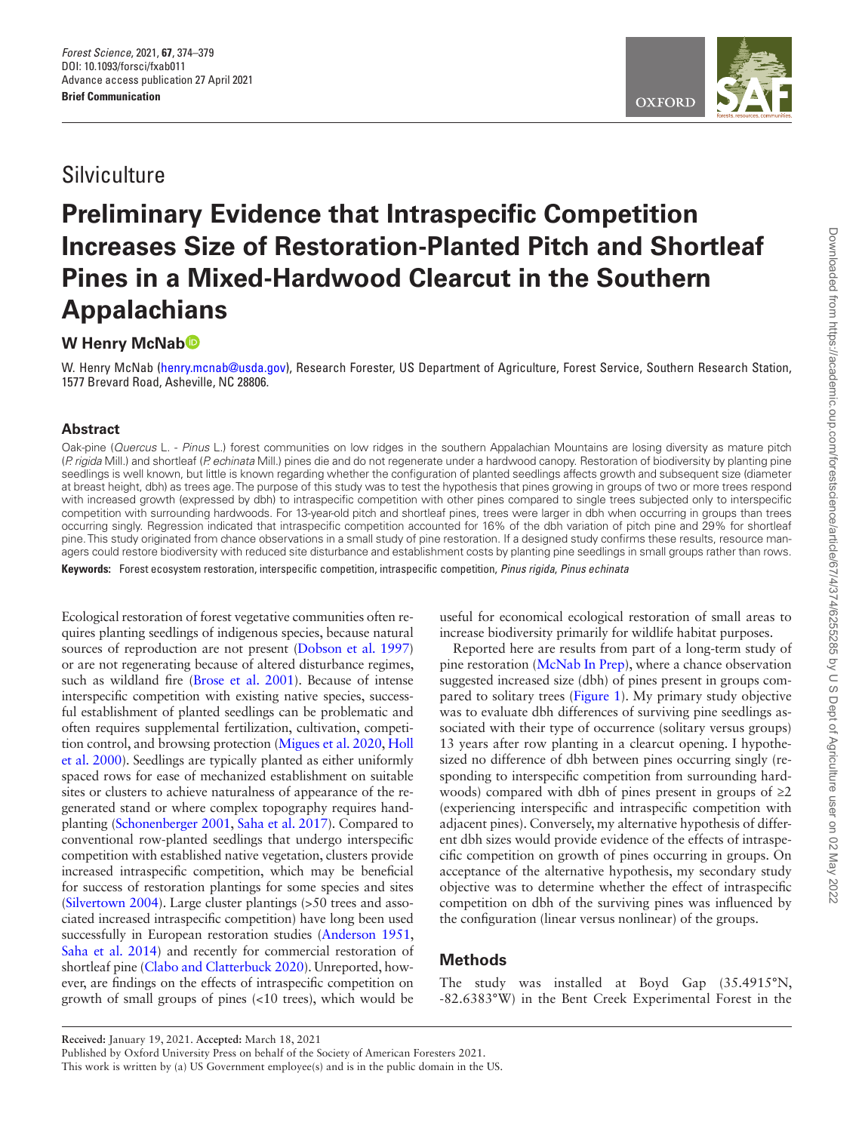# **Silviculture**

# **Preliminary Evidence that Intraspecific Competition Increases Size of Restoration-Planted Pitch and Shortleaf Pines in a Mixed-Hardwood Clearcut in the Southern Appalachians**

# **W Henry McNa[b](https://orcid.org/0000-0002-1981-6021)**

W. Henry McNab [\(henry.mcnab@usda.gov](mailto:henry.mcnab@usda.gov?subject=)), Research Forester, US Department of Agriculture, Forest Service, Southern Research Station, 1577 Brevard Road, Asheville, NC 28806.

## **Abstract**

Oak-pine (*Quercus* L. - *Pinus* L.) forest communities on low ridges in the southern Appalachian Mountains are losing diversity as mature pitch (*P. rigida* Mill.) and shortleaf (*P. echinata* Mill.) pines die and do not regenerate under a hardwood canopy. Restoration of biodiversity by planting pine seedlings is well known, but little is known regarding whether the configuration of planted seedlings affects growth and subsequent size (diameter at breast height, dbh) as trees age. The purpose of this study was to test the hypothesis that pines growing in groups of two or more trees respond with increased growth (expressed by dbh) to intraspecific competition with other pines compared to single trees subjected only to interspecific competition with surrounding hardwoods. For 13-year-old pitch and shortleaf pines, trees were larger in dbh when occurring in groups than trees occurring singly. Regression indicated that intraspecific competition accounted for 16% of the dbh variation of pitch pine and 29% for shortleaf pine. This study originated from chance observations in a small study of pine restoration. If a designed study confirms these results, resource managers could restore biodiversity with reduced site disturbance and establishment costs by planting pine seedlings in small groups rather than rows.

**Keywords:** Forest ecosystem restoration, interspecific competition, intraspecific competition, *Pinus rigida*, *Pinus echinata*

Ecological restoration of forest vegetative communities often requires planting seedlings of indigenous species, because natural sources of reproduction are not present ([Dobson et al. 1997\)](#page-5-0). or are not regenerating because of altered disturbance regimes, such as wildland fire ([Brose et al. 2001](#page-5-1)). Because of intense interspecific competition with existing native species, successful establishment of planted seedlings can be problematic and often requires supplemental fertilization, cultivation, competition control, and browsing protection [\(Migues et al. 2020,](#page-5-2) [Holl](#page-5-3)  [et al. 2000](#page-5-3)). Seedlings are typically planted as either uniformly spaced rows for ease of mechanized establishment on suitable sites or clusters to achieve naturalness of appearance of the regenerated stand or where complex topography requires handplanting [\(Schonenberger 2001](#page-5-4), [Saha et al. 2017](#page-5-5)). Compared to conventional row-planted seedlings that undergo interspecific competition with established native vegetation, clusters provide increased intraspecific competition, which may be beneficial for success of restoration plantings for some species and sites [\(Silvertown 2004](#page-5-6)). Large cluster plantings (>50 trees and associated increased intraspecific competition) have long been used successfully in European restoration studies [\(Anderson 1951,](#page-5-7) Saha et al. 2014) and recently for commercial restoration of shortleaf pine ([Clabo and Clatterbuck 2020\)](#page-5-9). Unreported, however, are findings on the effects of intraspecific competition on growth of small groups of pines (<10 trees), which would be

useful for economical ecological restoration of small areas to increase biodiversity primarily for wildlife habitat purposes.

Reported here are results from part of a long-term study of pine restoration ([McNab In Prep\)](#page-5-10), where a chance observation suggested increased size (dbh) of pines present in groups compared to solitary trees [\(Figure 1](#page-1-0)). My primary study objective was to evaluate dbh differences of surviving pine seedlings associated with their type of occurrence (solitary versus groups) 13 years after row planting in a clearcut opening. I hypothesized no difference of dbh between pines occurring singly (responding to interspecific competition from surrounding hardwoods) compared with dbh of pines present in groups of  $\geq 2$ (experiencing interspecific and intraspecific competition with adjacent pines). Conversely, my alternative hypothesis of different dbh sizes would provide evidence of the effects of intraspecific competition on growth of pines occurring in groups. On acceptance of the alternative hypothesis, my secondary study objective was to determine whether the effect of intraspecific competition on dbh of the surviving pines was influenced by the configuration (linear versus nonlinear) of the groups.

# **Methods**

The study was installed at Boyd Gap (35.4915°N, -82.6383°W) in the Bent Creek Experimental Forest in the



**Received:** January 19, 2021. **Accepted:** March 18, 2021

Published by Oxford University Press on behalf of the Society of American Foresters 2021.

This work is written by (a) US Government employee(s) and is in the public domain in the US.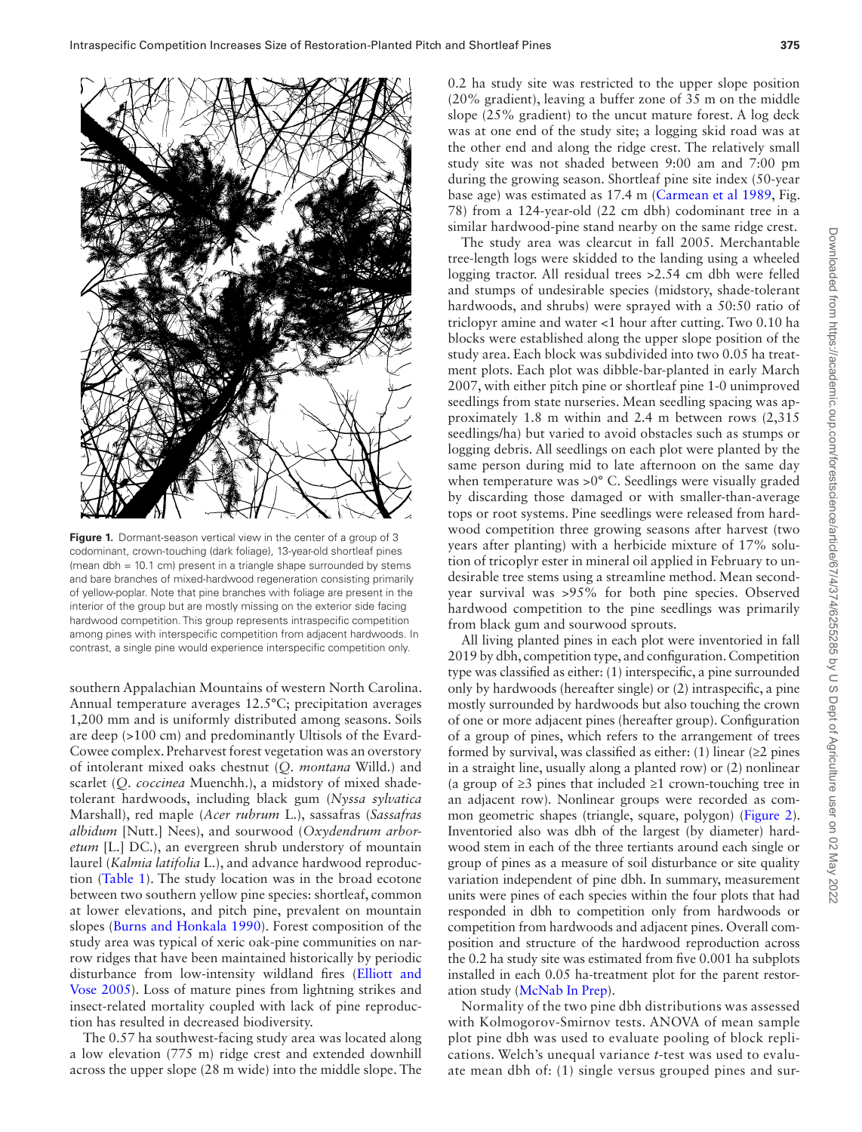

**Figure 1.** Dormant-season vertical view in the center of a group of 3 codominant, crown-touching (dark foliage), 13-year-old shortleaf pines (mean dbh = 10.1 cm) present in a triangle shape surrounded by stems and bare branches of mixed-hardwood regeneration consisting primarily of yellow-poplar. Note that pine branches with foliage are present in the interior of the group but are mostly missing on the exterior side facing hardwood competition. This group represents intraspecific competition among pines with interspecific competition from adjacent hardwoods. In contrast, a single pine would experience interspecific competition only.

<span id="page-1-0"></span>southern Appalachian Mountains of western North Carolina. Annual temperature averages 12.5°C; precipitation averages 1,200 mm and is uniformly distributed among seasons. Soils are deep (>100 cm) and predominantly Ultisols of the Evard-Cowee complex. Preharvest forest vegetation was an overstory of intolerant mixed oaks chestnut (*Q. montana* Willd.) and scarlet (*Q. coccinea* Muenchh.), a midstory of mixed shadetolerant hardwoods, including black gum (*Nyssa sylvatica* Marshall), red maple (*Acer rubrum* L.), sassafras (*Sassafras albidum* [Nutt.] Nees), and sourwood (*Oxydendrum arboretum* [L.] DC.), an evergreen shrub understory of mountain laurel (*Kalmia latifolia* L.), and advance hardwood reproduction ([Table 1\)](#page-2-0). The study location was in the broad ecotone between two southern yellow pine species: shortleaf, common at lower elevations, and pitch pine, prevalent on mountain slopes [\(Burns and Honkala 1990](#page-5-11)). Forest composition of the study area was typical of xeric oak-pine communities on narrow ridges that have been maintained historically by periodic disturbance from low-intensity wildland fires ([Elliott and](#page-5-12) [Vose 2005\)](#page-5-12). Loss of mature pines from lightning strikes and insect-related mortality coupled with lack of pine reproduction has resulted in decreased biodiversity.

The 0.57 ha southwest-facing study area was located along a low elevation (775 m) ridge crest and extended downhill across the upper slope (28 m wide) into the middle slope. The 0.2 ha study site was restricted to the upper slope position (20% gradient), leaving a buffer zone of 35 m on the middle slope (25% gradient) to the uncut mature forest. A log deck was at one end of the study site; a logging skid road was at the other end and along the ridge crest. The relatively small study site was not shaded between 9:00 am and 7:00 pm during the growing season. Shortleaf pine site index (50-year base age) was estimated as 17.4 m [\(Carmean et al 1989](#page-5-13), Fig. 78) from a 124-year-old (22 cm dbh) codominant tree in a similar hardwood-pine stand nearby on the same ridge crest.

The study area was clearcut in fall 2005. Merchantable tree-length logs were skidded to the landing using a wheeled logging tractor. All residual trees >2.54 cm dbh were felled and stumps of undesirable species (midstory, shade-tolerant hardwoods, and shrubs) were sprayed with a 50:50 ratio of triclopyr amine and water <1 hour after cutting. Two 0.10 ha blocks were established along the upper slope position of the study area. Each block was subdivided into two 0.05 ha treatment plots. Each plot was dibble-bar-planted in early March 2007, with either pitch pine or shortleaf pine 1-0 unimproved seedlings from state nurseries. Mean seedling spacing was approximately 1.8 m within and 2.4 m between rows (2,315 seedlings/ha) but varied to avoid obstacles such as stumps or logging debris. All seedlings on each plot were planted by the same person during mid to late afternoon on the same day when temperature was >0° C. Seedlings were visually graded by discarding those damaged or with smaller-than-average tops or root systems. Pine seedlings were released from hardwood competition three growing seasons after harvest (two years after planting) with a herbicide mixture of 17% solution of tricoplyr ester in mineral oil applied in February to undesirable tree stems using a streamline method. Mean secondyear survival was >95% for both pine species. Observed hardwood competition to the pine seedlings was primarily from black gum and sourwood sprouts.

All living planted pines in each plot were inventoried in fall 2019 by dbh, competition type, and configuration. Competition type was classified as either: (1) interspecific, a pine surrounded only by hardwoods (hereafter single) or (2) intraspecific, a pine mostly surrounded by hardwoods but also touching the crown of one or more adjacent pines (hereafter group). Configuration of a group of pines, which refers to the arrangement of trees formed by survival, was classified as either: (1) linear ( $\geq$ 2 pines in a straight line, usually along a planted row) or (2) nonlinear (a group of ≥3 pines that included ≥1 crown-touching tree in an adjacent row). Nonlinear groups were recorded as common geometric shapes (triangle, square, polygon) [\(Figure 2\)](#page-3-0). Inventoried also was dbh of the largest (by diameter) hardwood stem in each of the three tertiants around each single or group of pines as a measure of soil disturbance or site quality variation independent of pine dbh. In summary, measurement units were pines of each species within the four plots that had responded in dbh to competition only from hardwoods or competition from hardwoods and adjacent pines. Overall composition and structure of the hardwood reproduction across the 0.2 ha study site was estimated from five 0.001 ha subplots installed in each 0.05 ha-treatment plot for the parent restoration study ([McNab In Prep\)](#page-5-10).

Normality of the two pine dbh distributions was assessed with Kolmogorov-Smirnov tests. ANOVA of mean sample plot pine dbh was used to evaluate pooling of block replications. Welch's unequal variance *t*-test was used to evaluate mean dbh of: (1) single versus grouped pines and sur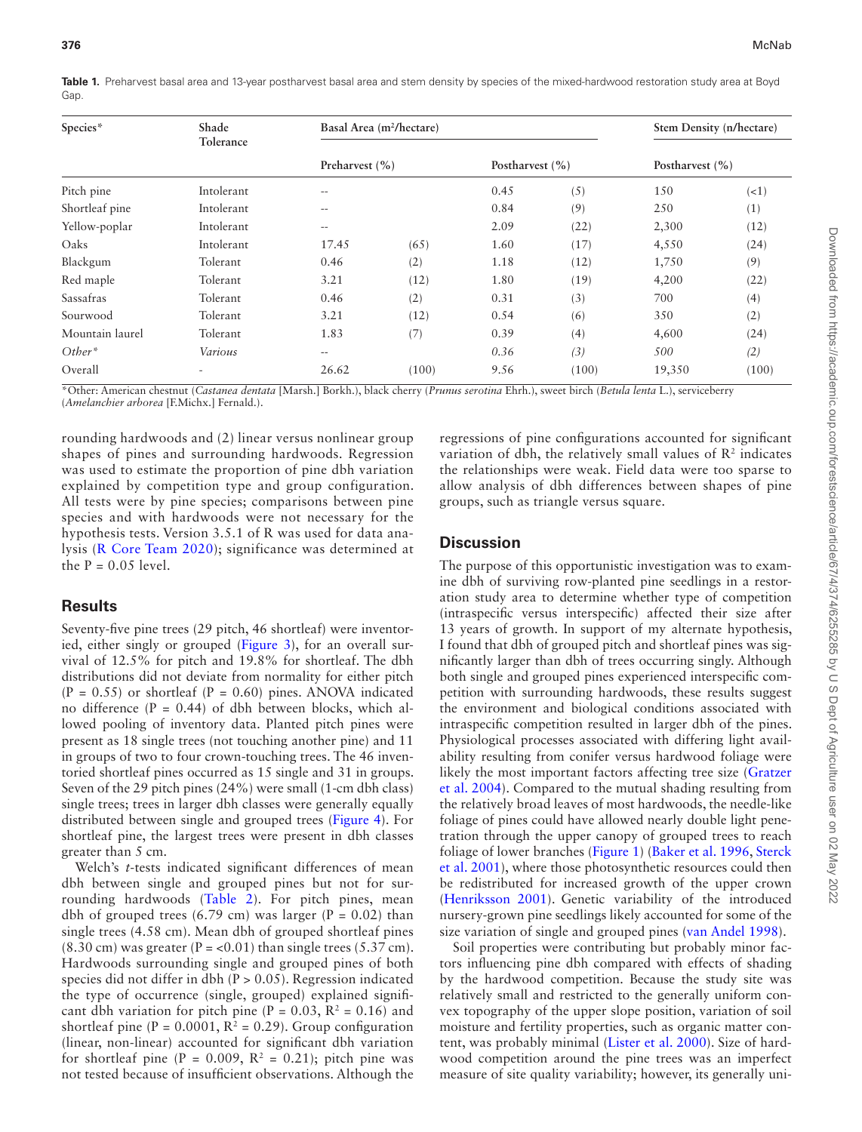<span id="page-2-0"></span>**Table 1.** Preharvest basal area and 13-year postharvest basal area and stem density by species of the mixed-hardwood restoration study area at Boyd Gap.

| Species*        | Shade<br>Tolerance |                    | Basal Area (m <sup>2</sup> /hectare) | Stem Density (n/hectare) |       |                     |       |
|-----------------|--------------------|--------------------|--------------------------------------|--------------------------|-------|---------------------|-------|
|                 |                    | Preharvest $(\% )$ |                                      | Postharvest $(\% )$      |       | Postharvest $(\% )$ |       |
| Pitch pine      | Intolerant         | $-$                |                                      | 0.45                     | (5)   | 150                 | (<1)  |
| Shortleaf pine  | Intolerant         | $-$                |                                      | 0.84                     | (9)   | 250                 | (1)   |
| Yellow-poplar   | Intolerant         | $\qquad \qquad -$  |                                      | 2.09                     | (22)  | 2,300               | (12)  |
| Oaks            | Intolerant         | 17.45              | (65)                                 | 1.60                     | (17)  | 4,550               | (24)  |
| Blackgum        | Tolerant           | 0.46               | (2)                                  | 1.18                     | (12)  | 1,750               | (9)   |
| Red maple       | Tolerant           | 3.21               | (12)                                 | 1.80                     | (19)  | 4,200               | (22)  |
| Sassafras       | Tolerant           | 0.46               | (2)                                  | 0.31                     | (3)   | 700                 | (4)   |
| Sourwood        | Tolerant           | 3.21               | (12)                                 | 0.54                     | (6)   | 350                 | (2)   |
| Mountain laurel | Tolerant           | 1.83               | (7)                                  | 0.39                     | (4)   | 4,600               | (24)  |
| $Other*$        | Various            | $\qquad \qquad -$  |                                      | 0.36                     | (3)   | 500                 | (2)   |
| Overall         | ٠                  | 26.62              | (100)                                | 9.56                     | (100) | 19,350              | (100) |

\*Other: American chestnut (*Castanea dentata* [Marsh.] Borkh.), black cherry (*Prunus serotina* Ehrh.), sweet birch (*Betula lenta* L.), serviceberry (*Amelanchier arborea* [F.Michx.] Fernald.).

rounding hardwoods and (2) linear versus nonlinear group shapes of pines and surrounding hardwoods. Regression was used to estimate the proportion of pine dbh variation explained by competition type and group configuration. All tests were by pine species; comparisons between pine species and with hardwoods were not necessary for the hypothesis tests. Version 3.5.1 of R was used for data analysis ([R Core Team 2020](#page-5-14)); significance was determined at the  $P = 0.05$  level.

### **Results**

Seventy-five pine trees (29 pitch, 46 shortleaf) were inventoried, either singly or grouped ([Figure 3](#page-3-1)), for an overall survival of 12.5% for pitch and 19.8% for shortleaf. The dbh distributions did not deviate from normality for either pitch  $(P = 0.55)$  or shortleaf  $(P = 0.60)$  pines. ANOVA indicated no difference  $(P = 0.44)$  of dbh between blocks, which allowed pooling of inventory data. Planted pitch pines were present as 18 single trees (not touching another pine) and 11 in groups of two to four crown-touching trees. The 46 inventoried shortleaf pines occurred as 15 single and 31 in groups. Seven of the 29 pitch pines (24%) were small (1-cm dbh class) single trees; trees in larger dbh classes were generally equally distributed between single and grouped trees ([Figure 4](#page-3-2)). For shortleaf pine, the largest trees were present in dbh classes greater than 5 cm.

Welch's *t*-tests indicated significant differences of mean dbh between single and grouped pines but not for surrounding hardwoods [\(Table 2](#page-4-0)). For pitch pines, mean dbh of grouped trees  $(6.79 \text{ cm})$  was larger  $(P = 0.02)$  than single trees (4.58 cm). Mean dbh of grouped shortleaf pines  $(8.30 \text{ cm})$  was greater  $(P = < 0.01)$  than single trees  $(5.37 \text{ cm})$ . Hardwoods surrounding single and grouped pines of both species did not differ in dbh (P > 0.05). Regression indicated the type of occurrence (single, grouped) explained significant dbh variation for pitch pine ( $P = 0.03$ ,  $R^2 = 0.16$ ) and shortleaf pine  $(P = 0.0001, R^2 = 0.29)$ . Group configuration (linear, non-linear) accounted for significant dbh variation for shortleaf pine (P =  $0.009$ , R<sup>2</sup> = 0.21); pitch pine was not tested because of insufficient observations. Although the

regressions of pine configurations accounted for significant variation of dbh, the relatively small values of  $\mathbb{R}^2$  indicates the relationships were weak. Field data were too sparse to allow analysis of dbh differences between shapes of pine groups, such as triangle versus square.

### **Discussion**

The purpose of this opportunistic investigation was to examine dbh of surviving row-planted pine seedlings in a restoration study area to determine whether type of competition (intraspecific versus interspecific) affected their size after 13 years of growth. In support of my alternate hypothesis, I found that dbh of grouped pitch and shortleaf pines was significantly larger than dbh of trees occurring singly. Although both single and grouped pines experienced interspecific competition with surrounding hardwoods, these results suggest the environment and biological conditions associated with intraspecific competition resulted in larger dbh of the pines. Physiological processes associated with differing light availability resulting from conifer versus hardwood foliage were likely the most important factors affecting tree size ([Gratzer](#page-5-15) [et al. 2004\)](#page-5-15). Compared to the mutual shading resulting from the relatively broad leaves of most hardwoods, the needle-like foliage of pines could have allowed nearly double light penetration through the upper canopy of grouped trees to reach foliage of lower branches [\(Figure 1\)](#page-1-0) [\(Baker et al. 1996,](#page-5-16) [Sterck](#page-5-17) [et al. 2001\)](#page-5-17), where those photosynthetic resources could then be redistributed for increased growth of the upper crown ([Henriksson 2001](#page-5-18)). Genetic variability of the introduced nursery-grown pine seedlings likely accounted for some of the size variation of single and grouped pines [\(van Andel 1998\)](#page-5-19).

Soil properties were contributing but probably minor factors influencing pine dbh compared with effects of shading by the hardwood competition. Because the study site was relatively small and restricted to the generally uniform convex topography of the upper slope position, variation of soil moisture and fertility properties, such as organic matter content, was probably minimal ([Lister et al. 2000](#page-5-20)). Size of hardwood competition around the pine trees was an imperfect measure of site quality variability; however, its generally uni-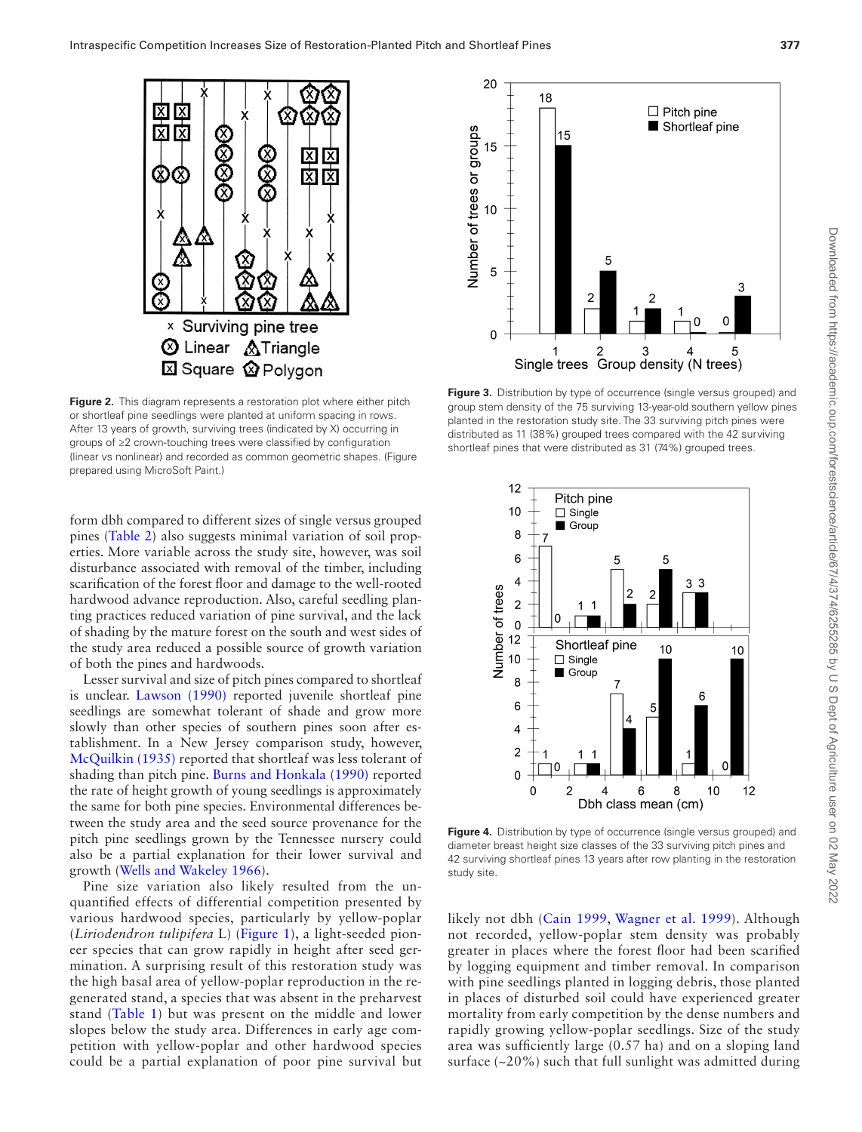

<span id="page-3-0"></span>**Figure 2.** This diagram represents a restoration plot where either pitch or shortleaf pine seedlings were planted at uniform spacing in rows. After 13 years of growth, surviving trees (indicated by X) occurring in groups of ≥2 crown-touching trees were classified by configuration (linear vs nonlinear) and recorded as common geometric shapes. (Figure prepared using MicroSoft Paint.)

form dbh compared to different sizes of single versus grouped pines ([Table 2](#page-4-0)) also suggests minimal variation of soil properties. More variable across the study site, however, was soil disturbance associated with removal of the timber, including scarification of the forest floor and damage to the well-rooted hardwood advance reproduction. Also, careful seedling planting practices reduced variation of pine survival, and the lack of shading by the mature forest on the south and west sides of the study area reduced a possible source of growth variation of both the pines and hardwoods.

Lesser survival and size of pitch pines compared to shortleaf is unclear. [Lawson \(1990\)](#page-5-21) reported juvenile shortleaf pine seedlings are somewhat tolerant of shade and grow more slowly than other species of southern pines soon after establishment. In a New Jersey comparison study, however, [McQuilkin \(1935\)](#page-5-22) reported that shortleaf was less tolerant of shading than pitch pine. [Burns and Honkala \(1990\)](#page-5-11) reported the rate of height growth of young seedlings is approximately the same for both pine species. Environmental differences between the study area and the seed source provenance for the pitch pine seedlings grown by the Tennessee nursery could also be a partial explanation for their lower survival and growth ([Wells and Wakeley 1966\)](#page-5-23).

Pine size variation also likely resulted from the unquantified effects of differential competition presented by various hardwood species, particularly by yellow-poplar (*Liriodendron tulipifera* L) [\(Figure 1\)](#page-1-0), a light-seeded pioneer species that can grow rapidly in height after seed germination. A surprising result of this restoration study was the high basal area of yellow-poplar reproduction in the regenerated stand, a species that was absent in the preharvest stand [\(Table 1](#page-2-0)) but was present on the middle and lower slopes below the study area. Differences in early age competition with yellow-poplar and other hardwood species could be a partial explanation of poor pine survival but



<span id="page-3-1"></span>Figure 3. Distribution by type of occurrence (single versus grouped) and group stem density of the 75 surviving 13-year-old southern yellow pines planted in the restoration study site. The 33 surviving pitch pines were distributed as 11 (38%) grouped trees compared with the 42 surviving shortleaf pines that were distributed as 31 (74%) grouped trees.



<span id="page-3-2"></span>Figure 4. Distribution by type of occurrence (single versus grouped) and diameter breast height size classes of the 33 surviving pitch pines and 42 surviving shortleaf pines 13 years after row planting in the restoration study site.

likely not dbh [\(Cain 1999,](#page-5-24) [Wagner et al. 1999](#page-5-25)). Although not recorded, yellow-poplar stem density was probably greater in places where the forest floor had been scarified by logging equipment and timber removal. In comparison with pine seedlings planted in logging debris, those planted in places of disturbed soil could have experienced greater mortality from early competition by the dense numbers and rapidly growing yellow-poplar seedlings. Size of the study area was sufficiently large (0.57 ha) and on a sloping land surface  $(-20\%)$  such that full sunlight was admitted during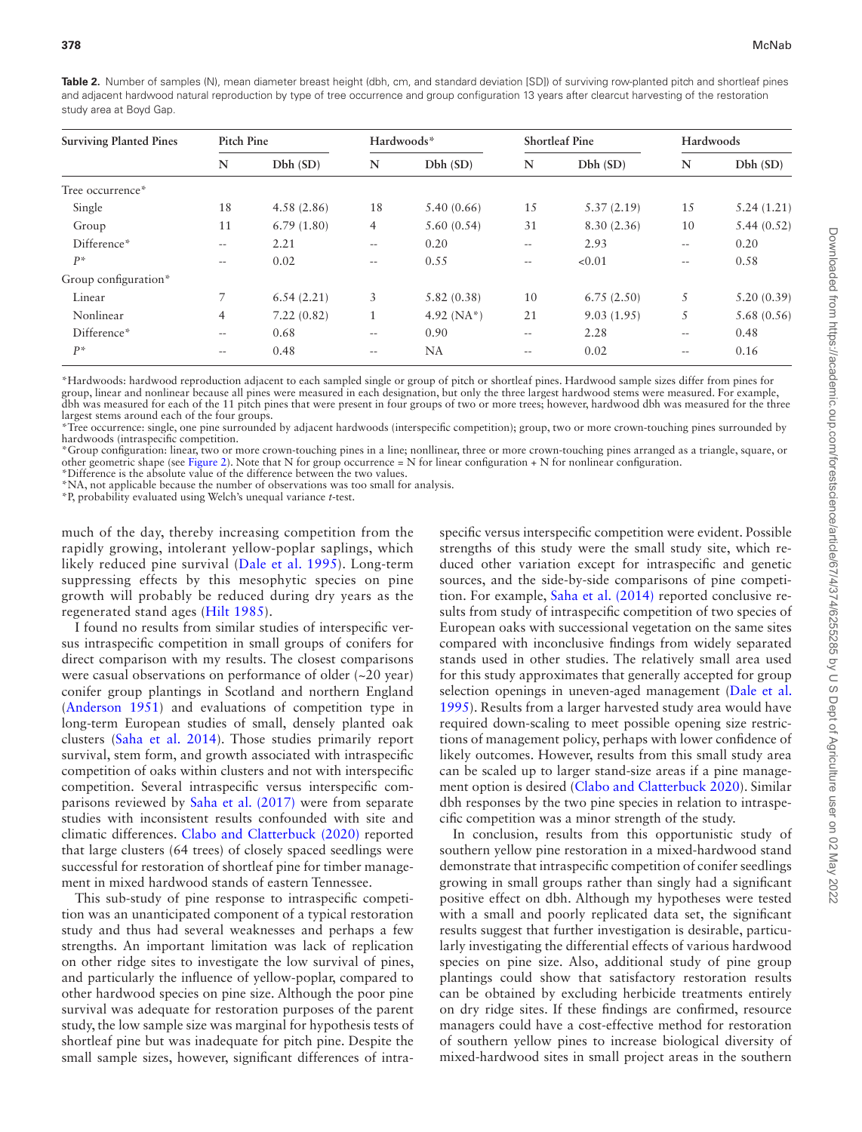<span id="page-4-0"></span>**Table 2.** Number of samples (N), mean diameter breast height (dbh, cm, and standard deviation [SD]) of surviving row-planted pitch and shortleaf pines and adjacent hardwood natural reproduction by type of tree occurrence and group configuration 13 years after clearcut harvesting of the restoration study area at Boyd Gap.

| <b>Surviving Planted Pines</b> | Pitch Pine               |            | Hardwoods*        |               | <b>Shortleaf Pine</b> |            | Hardwoods                |            |
|--------------------------------|--------------------------|------------|-------------------|---------------|-----------------------|------------|--------------------------|------------|
|                                | N                        | Dbh(SD)    | N                 | Dbh(SD)       | N                     | Dbh(SD)    | N                        | Dbh(SD)    |
| Tree occurrence*               |                          |            |                   |               |                       |            |                          |            |
| Single                         | 18                       | 4.58(2.86) | 18                | 5.40(0.66)    | 15                    | 5.37(2.19) | 15                       | 5.24(1.21) |
| Group                          | 11                       | 6.79(1.80) | $\overline{4}$    | 5.60(0.54)    | 31                    | 8.30(2.36) | 10                       | 5.44(0.52) |
| Difference*                    | $\overline{\phantom{m}}$ | 2.21       | $\qquad \qquad -$ | 0.20          | $- -$                 | 2.93       | $\frac{1}{2}$            | 0.20       |
| $P^*$                          | $\qquad \qquad -$        | 0.02       | $- -$             | 0.55          | $\qquad \qquad -$     | < 0.01     | $\qquad \qquad -$        | 0.58       |
| Group configuration*           |                          |            |                   |               |                       |            |                          |            |
| Linear                         | 7                        | 6.54(2.21) | 3                 | 5.82(0.38)    | 10                    | 6.75(2.50) | 5                        | 5.20(0.39) |
| Nonlinear                      | $\overline{4}$           | 7.22(0.82) |                   | 4.92 $(NA^*)$ | 21                    | 9.03(1.95) | 5                        | 5.68(0.56) |
| Difference*                    | $\qquad \qquad -$        | 0.68       | $\qquad \qquad -$ | 0.90          | $\qquad \qquad -$     | 2.28       | $\qquad \qquad -$        | 0.48       |
| $P^*$                          | $\qquad \qquad -$        | 0.48       | $\qquad \qquad -$ | <b>NA</b>     | $\qquad \qquad -$     | 0.02       | $\overline{\phantom{m}}$ | 0.16       |

\*Hardwoods: hardwood reproduction adjacent to each sampled single or group of pitch or shortleaf pines. Hardwood sample sizes differ from pines for group, linear and nonlinear because all pines were measured in each designation, but only the three largest hardwood stems were measured. For example, dbh was measured for each of the 11 pitch pines that were present in four groups of two or more trees; however, hardwood dbh was measured for the three largest stems around each of the four groups.

\*Tree occurrence: single, one pine surrounded by adjacent hardwoods (interspecific competition); group, two or more crown-touching pines surrounded by hardwoods (intraspecific competition.

\*Group configuration: linear, two or more crown-touching pines in a line; nonllinear, three or more crown-touching pines arranged as a triangle, square, or other geometric shape (see [Figure 2\)](#page-3-0). Note that N for group occurrence = N for linear configuration + N for nonlinear configuration.

\*Difference is the absolute value of the difference between the two values.

\*NA, not applicable because the number of observations was too small for analysis.

\*P, probability evaluated using Welch's unequal variance *t*-test.

much of the day, thereby increasing competition from the rapidly growing, intolerant yellow-poplar saplings, which likely reduced pine survival ([Dale et al. 1995](#page-5-26)). Long-term suppressing effects by this mesophytic species on pine growth will probably be reduced during dry years as the regenerated stand ages ([Hilt 1985\)](#page-5-27).

I found no results from similar studies of interspecific versus intraspecific competition in small groups of conifers for direct comparison with my results. The closest comparisons were casual observations on performance of older (~20 year) conifer group plantings in Scotland and northern England ([Anderson 1951](#page-5-7)) and evaluations of competition type in long-term European studies of small, densely planted oak clusters ([Saha et al. 2014\)](#page-5-8). Those studies primarily report survival, stem form, and growth associated with intraspecific competition of oaks within clusters and not with interspecific competition. Several intraspecific versus interspecific comparisons reviewed by [Saha et al. \(2017\)](#page-5-5) were from separate studies with inconsistent results confounded with site and climatic differences. [Clabo and Clatterbuck \(2020\)](#page-5-9) reported that large clusters (64 trees) of closely spaced seedlings were successful for restoration of shortleaf pine for timber management in mixed hardwood stands of eastern Tennessee.

This sub-study of pine response to intraspecific competition was an unanticipated component of a typical restoration study and thus had several weaknesses and perhaps a few strengths. An important limitation was lack of replication on other ridge sites to investigate the low survival of pines, and particularly the influence of yellow-poplar, compared to other hardwood species on pine size. Although the poor pine survival was adequate for restoration purposes of the parent study, the low sample size was marginal for hypothesis tests of shortleaf pine but was inadequate for pitch pine. Despite the small sample sizes, however, significant differences of intraspecific versus interspecific competition were evident. Possible strengths of this study were the small study site, which reduced other variation except for intraspecific and genetic sources, and the side-by-side comparisons of pine competition. For example, [Saha et al. \(2014\)](#page-5-8) reported conclusive results from study of intraspecific competition of two species of European oaks with successional vegetation on the same sites compared with inconclusive findings from widely separated stands used in other studies. The relatively small area used for this study approximates that generally accepted for group selection openings in uneven-aged management [\(Dale et al.](#page-5-26) [1995](#page-5-26)). Results from a larger harvested study area would have required down-scaling to meet possible opening size restrictions of management policy, perhaps with lower confidence of likely outcomes. However, results from this small study area can be scaled up to larger stand-size areas if a pine management option is desired [\(Clabo and Clatterbuck 2020](#page-5-9)). Similar dbh responses by the two pine species in relation to intraspecific competition was a minor strength of the study.

In conclusion, results from this opportunistic study of southern yellow pine restoration in a mixed-hardwood stand demonstrate that intraspecific competition of conifer seedlings growing in small groups rather than singly had a significant positive effect on dbh. Although my hypotheses were tested with a small and poorly replicated data set, the significant results suggest that further investigation is desirable, particularly investigating the differential effects of various hardwood species on pine size. Also, additional study of pine group plantings could show that satisfactory restoration results can be obtained by excluding herbicide treatments entirely on dry ridge sites. If these findings are confirmed, resource managers could have a cost-effective method for restoration of southern yellow pines to increase biological diversity of mixed-hardwood sites in small project areas in the southern